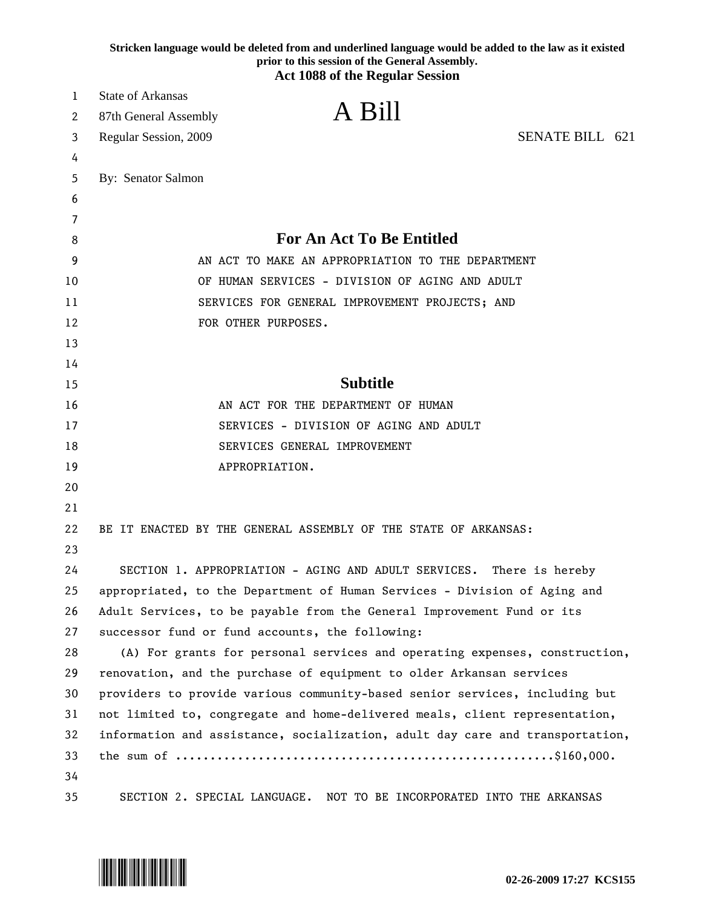|    | Stricken language would be deleted from and underlined language would be added to the law as it existed<br>prior to this session of the General Assembly.<br><b>Act 1088 of the Regular Session</b> |                 |
|----|-----------------------------------------------------------------------------------------------------------------------------------------------------------------------------------------------------|-----------------|
| 1  | <b>State of Arkansas</b>                                                                                                                                                                            |                 |
| 2  | A Bill<br>87th General Assembly                                                                                                                                                                     |                 |
| 3  | Regular Session, 2009                                                                                                                                                                               | SENATE BILL 621 |
| 4  |                                                                                                                                                                                                     |                 |
| 5  | By: Senator Salmon                                                                                                                                                                                  |                 |
| 6  |                                                                                                                                                                                                     |                 |
| 7  |                                                                                                                                                                                                     |                 |
| 8  | <b>For An Act To Be Entitled</b>                                                                                                                                                                    |                 |
| 9  | AN ACT TO MAKE AN APPROPRIATION TO THE DEPARTMENT                                                                                                                                                   |                 |
| 10 | OF HUMAN SERVICES - DIVISION OF AGING AND ADULT                                                                                                                                                     |                 |
| 11 | SERVICES FOR GENERAL IMPROVEMENT PROJECTS; AND                                                                                                                                                      |                 |
| 12 | FOR OTHER PURPOSES.                                                                                                                                                                                 |                 |
| 13 |                                                                                                                                                                                                     |                 |
| 14 |                                                                                                                                                                                                     |                 |
| 15 | <b>Subtitle</b>                                                                                                                                                                                     |                 |
| 16 | AN ACT FOR THE DEPARTMENT OF HUMAN                                                                                                                                                                  |                 |
| 17 | SERVICES - DIVISION OF AGING AND ADULT                                                                                                                                                              |                 |
| 18 | SERVICES GENERAL IMPROVEMENT                                                                                                                                                                        |                 |
| 19 | APPROPRIATION.                                                                                                                                                                                      |                 |
| 20 |                                                                                                                                                                                                     |                 |
| 21 |                                                                                                                                                                                                     |                 |
| 22 | BE IT ENACTED BY THE GENERAL ASSEMBLY OF THE STATE OF ARKANSAS:                                                                                                                                     |                 |
| 23 |                                                                                                                                                                                                     |                 |
| 24 | SECTION 1. APPROPRIATION - AGING AND ADULT SERVICES. There is hereby                                                                                                                                |                 |
| 25 | appropriated, to the Department of Human Services - Division of Aging and                                                                                                                           |                 |
| 26 | Adult Services, to be payable from the General Improvement Fund or its                                                                                                                              |                 |
| 27 | successor fund or fund accounts, the following:                                                                                                                                                     |                 |
| 28 | (A) For grants for personal services and operating expenses, construction,                                                                                                                          |                 |
| 29 | renovation, and the purchase of equipment to older Arkansan services                                                                                                                                |                 |
| 30 | providers to provide various community-based senior services, including but                                                                                                                         |                 |
| 31 | not limited to, congregate and home-delivered meals, client representation,                                                                                                                         |                 |
| 32 | information and assistance, socialization, adult day care and transportation,                                                                                                                       |                 |
| 33 |                                                                                                                                                                                                     |                 |
| 34 |                                                                                                                                                                                                     |                 |
| 35 | SECTION 2. SPECIAL LANGUAGE. NOT TO BE INCORPORATED INTO THE ARKANSAS                                                                                                                               |                 |

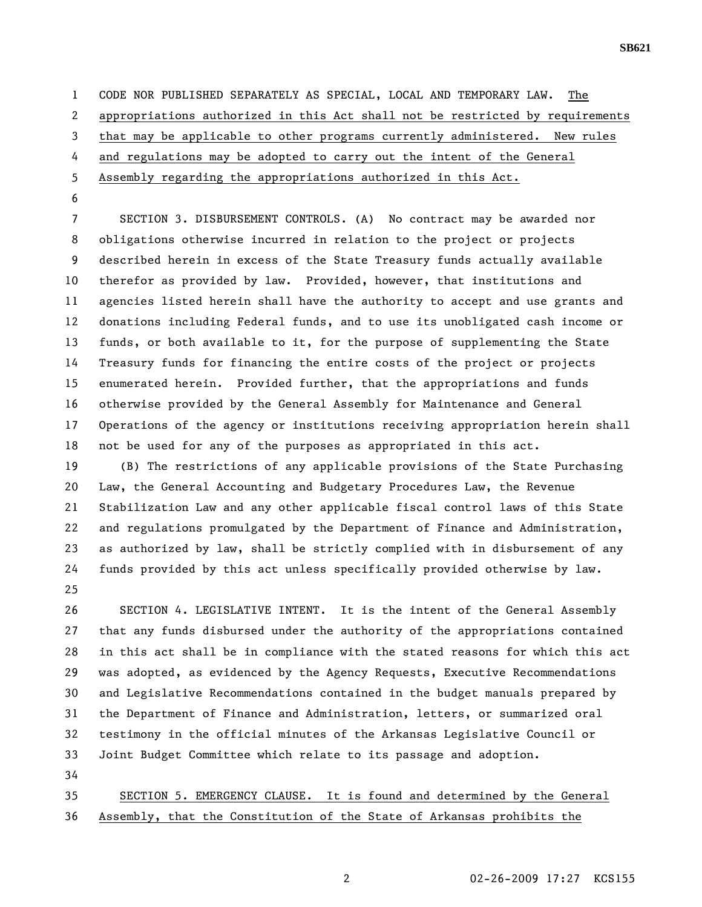**SB621** 

1 CODE NOR PUBLISHED SEPARATELY AS SPECIAL, LOCAL AND TEMPORARY LAW. The 2 appropriations authorized in this Act shall not be restricted by requirements 3 that may be applicable to other programs currently administered. New rules 4 and regulations may be adopted to carry out the intent of the General 5 Assembly regarding the appropriations authorized in this Act.

6

7 SECTION 3. DISBURSEMENT CONTROLS. (A) No contract may be awarded nor 8 obligations otherwise incurred in relation to the project or projects 9 described herein in excess of the State Treasury funds actually available 10 therefor as provided by law. Provided, however, that institutions and 11 agencies listed herein shall have the authority to accept and use grants and 12 donations including Federal funds, and to use its unobligated cash income or 13 funds, or both available to it, for the purpose of supplementing the State 14 Treasury funds for financing the entire costs of the project or projects 15 enumerated herein. Provided further, that the appropriations and funds 16 otherwise provided by the General Assembly for Maintenance and General 17 Operations of the agency or institutions receiving appropriation herein shall 18 not be used for any of the purposes as appropriated in this act.

19 (B) The restrictions of any applicable provisions of the State Purchasing 20 Law, the General Accounting and Budgetary Procedures Law, the Revenue 21 Stabilization Law and any other applicable fiscal control laws of this State 22 and regulations promulgated by the Department of Finance and Administration, 23 as authorized by law, shall be strictly complied with in disbursement of any 24 funds provided by this act unless specifically provided otherwise by law. 25

26 SECTION 4. LEGISLATIVE INTENT. It is the intent of the General Assembly 27 that any funds disbursed under the authority of the appropriations contained 28 in this act shall be in compliance with the stated reasons for which this act 29 was adopted, as evidenced by the Agency Requests, Executive Recommendations 30 and Legislative Recommendations contained in the budget manuals prepared by 31 the Department of Finance and Administration, letters, or summarized oral 32 testimony in the official minutes of the Arkansas Legislative Council or 33 Joint Budget Committee which relate to its passage and adoption. 34

35 SECTION 5. EMERGENCY CLAUSE. It is found and determined by the General 36 Assembly, that the Constitution of the State of Arkansas prohibits the